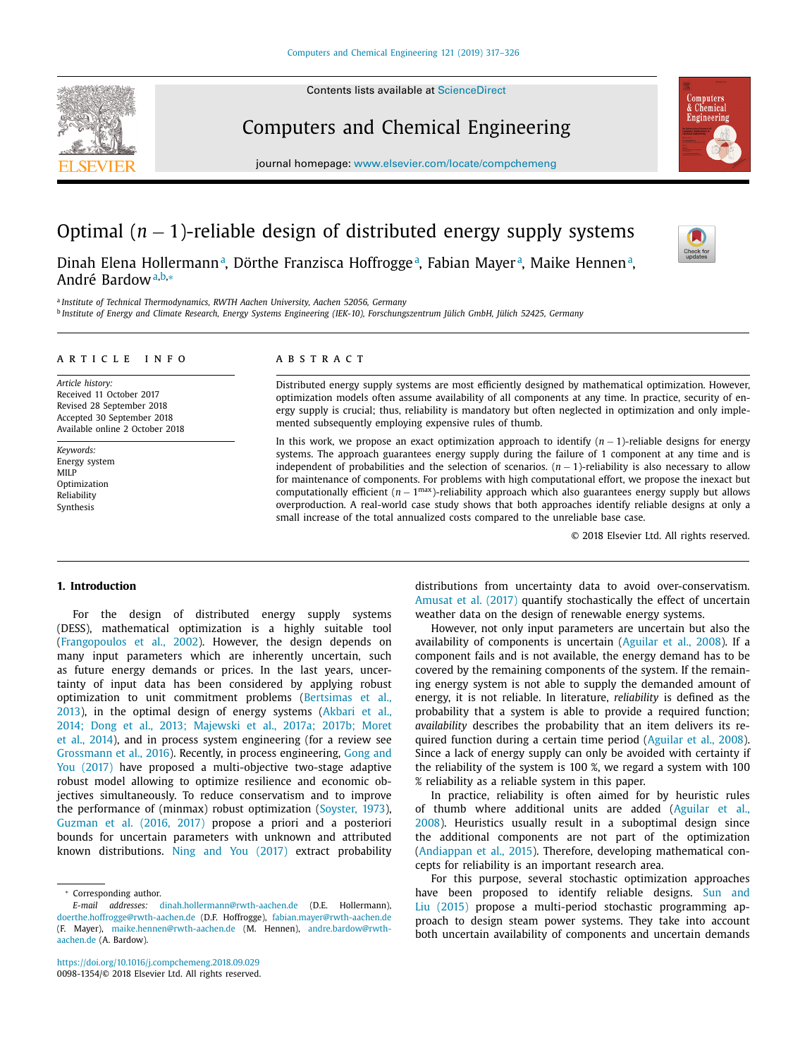Contents lists available at [ScienceDirect](http://www.ScienceDirect.com)



# Computers and Chemical Engineering



journal homepage: [www.elsevier.com/locate/compchemeng](http://www.elsevier.com/locate/compchemeng)

# Optimal (*n* − 1)-reliable design of distributed energy supply systems

Dinah Elena Hollermann<sup>a</sup>, Dörthe Franzisca Hoffrogge<sup>a</sup>, Fabian Mayer<sup>a</sup>, Maike Hennen<sup>a</sup>, André Bardowa,b,<sup>∗</sup>

<sup>a</sup> *Institute of Technical Thermodynamics, RWTH Aachen University, Aachen 52056, Germany*

<sup>b</sup> Institute of Energy and Climate Research, Energy Systems Engineering (IEK-10), Forschungszentrum Jülich GmbH, Jülich 52425, Germany

#### a r t i c l e i n f o

*Article history:* Received 11 October 2017 Revised 28 September 2018 Accepted 30 September 2018 Available online 2 October 2018

*Keywords:* Energy system MILP Optimization Reliability Synthesis

# A B S T R A C T

Distributed energy supply systems are most efficiently designed by mathematical optimization. However, optimization models often assume availability of all components at any time. In practice, security of energy supply is crucial; thus, reliability is mandatory but often neglected in optimization and only implemented subsequently employing expensive rules of thumb.

In this work, we propose an exact optimization approach to identify (*n* − 1)-reliable designs for energy systems. The approach guarantees energy supply during the failure of 1 component at any time and is independent of probabilities and the selection of scenarios. (*n* − 1)-reliability is also necessary to allow for maintenance of components. For problems with high computational effort, we propose the inexact but computationally efficient (*n* − 1max)-reliability approach which also guarantees energy supply but allows overproduction. A real-world case study shows that both approaches identify reliable designs at only a small increase of the total annualized costs compared to the unreliable base case.

© 2018 Elsevier Ltd. All rights reserved.

# **1. Introduction**

For the design of distributed energy supply systems (DESS), mathematical optimization is a highly suitable tool [\(Frangopoulos](#page-8-0) et al., 2002). However, the design depends on many input parameters which are inherently uncertain, such as future energy demands or prices. In the last years, uncertainty of input data has been considered by applying robust optimization to unit [commitment](#page-8-0) problems (Bertsimas et al., 2013), in the optimal design of energy systems (Akbari et al., 2014; Dong et al., 2013; Majewski et al., 2017a; 2017b; Moret et al., 2014), and in process system [engineering](#page-8-0) (for a review see [Grossmann](#page-8-0) et al., 2016). Recently, in process engineering, Gong and You (2017) have proposed a [multi-objective](#page-8-0) two-stage adaptive robust model allowing to optimize resilience and economic objectives simultaneously. To reduce conservatism and to improve the performance of (minmax) robust optimization [\(Soyster,](#page-8-0) 1973), [Guzman](#page-8-0) et al. (2016, 2017) propose a priori and a posteriori bounds for uncertain parameters with unknown and attributed known distributions. Ning and You [\(2017\)](#page-8-0) extract probability distributions from uncertainty data to avoid over-conservatism. [Amusat](#page-8-0) et al. (2017) quantify stochastically the effect of uncertain weather data on the design of renewable energy systems.

However, not only input parameters are uncertain but also the availability of components is uncertain [\(Aguilar](#page-8-0) et al., 2008). If a component fails and is not available, the energy demand has to be covered by the remaining components of the system. If the remaining energy system is not able to supply the demanded amount of energy, it is not reliable. In literature, *reliability* is defined as the probability that a system is able to provide a required function; *availability* describes the probability that an item delivers its required function during a certain time period [\(Aguilar](#page-8-0) et al., 2008). Since a lack of energy supply can only be avoided with certainty if the reliability of the system is 100 %, we regard a system with 100 % reliability as a reliable system in this paper.

In practice, reliability is often aimed for by heuristic rules of thumb where additional units are added (Aguilar et al., 2008). Heuristics usually result in a [suboptimal](#page-8-0) design since the additional components are not part of the optimization [\(Andiappan](#page-8-0) et al., 2015). Therefore, developing mathematical concepts for reliability is an important research area.

For this purpose, several stochastic optimization approaches have been proposed to identify reliable designs. Sun and Liu (2015) propose a multi-period stochastic [programming](#page-9-0) approach to design steam power systems. They take into account both uncertain availability of components and uncertain demands

<sup>∗</sup> Corresponding author.

*E-mail addresses:* [dinah.hollermann@rwth-aachen.de](mailto:dinah.hollermann@rwth-aachen.de) (D.E. Hollermann), [doerthe.hoffrogge@rwth-aachen.de](mailto:doerthe.hoffrogge@rwth-aachen.de) (D.F. Hoffrogge), [fabian.mayer@rwth-aachen.de](mailto:fabian.mayer@rwth-aachen.de) (F. Mayer), [maike.hennen@rwth-aachen.de](mailto:maike.hennen@rwth-aachen.de) (M. Hennen), andre.bardow@rwthaachen.de (A. Bardow).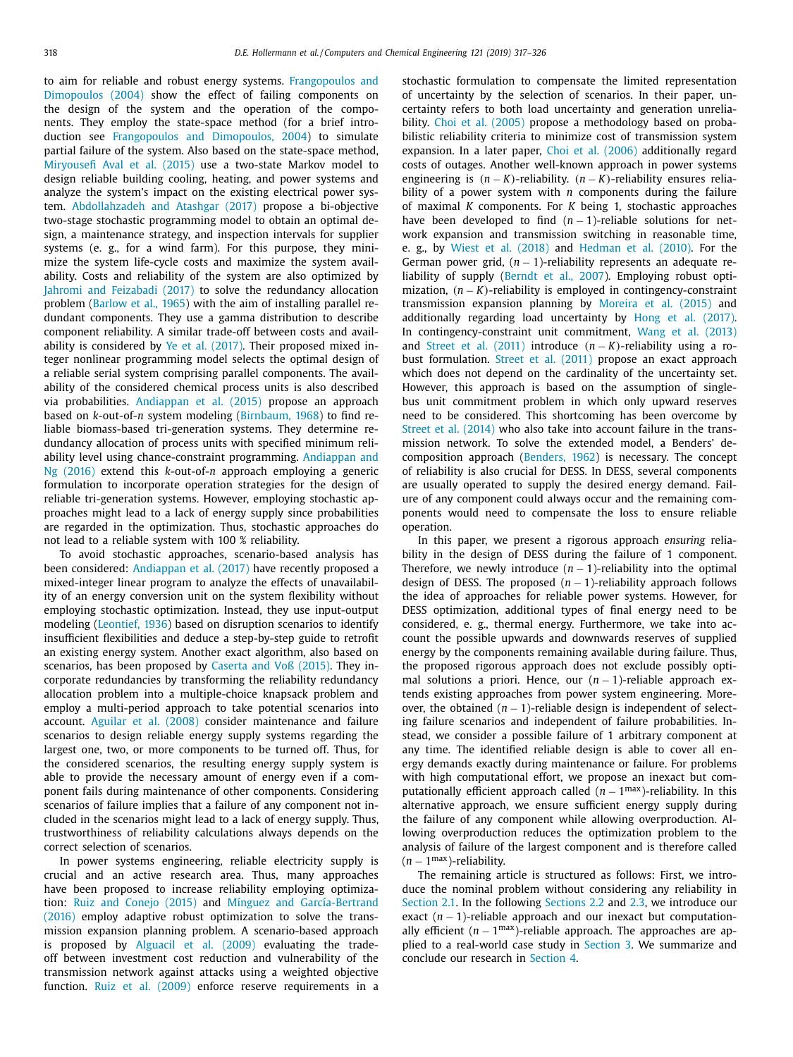to aim for reliable and robust energy systems. [Frangopoulos](#page-8-0) and Dimopoulos (2004) show the effect of failing components on the design of the system and the operation of the components. They employ the state-space method (for a brief introduction see [Frangopoulos](#page-8-0) and Dimopoulos, 2004) to simulate partial failure of the system. Also based on the state-space method, [Miryousefi Aval](#page-8-0) et al. (2015) use a two-state Markov model to design reliable building cooling, heating, and power systems and analyze the system's impact on the existing electrical power system. [Abdollahzadeh](#page-8-0) and Atashgar (2017) propose a bi-objective two-stage stochastic programming model to obtain an optimal design, a maintenance strategy, and inspection intervals for supplier systems (e. g., for a wind farm). For this purpose, they minimize the system life-cycle costs and maximize the system availability. Costs and reliability of the system are also optimized by Jahromi and [Feizabadi](#page-8-0) (2017) to solve the redundancy allocation problem [\(Barlow](#page-8-0) et al., 1965) with the aim of installing parallel redundant components. They use a gamma distribution to describe component reliability. A similar trade-off between costs and availability is considered by Ye et al. [\(2017\).](#page-9-0) Their proposed mixed integer nonlinear programming model selects the optimal design of a reliable serial system comprising parallel components. The availability of the considered chemical process units is also described via probabilities. [Andiappan](#page-8-0) et al. (2015) propose an approach based on *k*-out-of-*n* system modeling [\(Birnbaum,](#page-8-0) 1968) to find reliable biomass-based tri-generation systems. They determine redundancy allocation of process units with specified minimum reliability level using [chance-constraint](#page-8-0) programming. Andiappan and Ng (2016) extend this *k*-out-of-*n* approach employing a generic formulation to incorporate operation strategies for the design of reliable tri-generation systems. However, employing stochastic approaches might lead to a lack of energy supply since probabilities are regarded in the optimization. Thus, stochastic approaches do not lead to a reliable system with 100 % reliability.

To avoid stochastic approaches, scenario-based analysis has been considered: [Andiappan](#page-8-0) et al. (2017) have recently proposed a mixed-integer linear program to analyze the effects of unavailability of an energy conversion unit on the system flexibility without employing stochastic optimization. Instead, they use input-output modeling [\(Leontief,](#page-8-0) 1936) based on disruption scenarios to identify insufficient flexibilities and deduce a step-by-step guide to retrofit an existing energy system. Another exact algorithm, also based on scenarios, has been proposed by Caserta and [Voß \(2015\).](#page-8-0) They incorporate redundancies by transforming the reliability redundancy allocation problem into a multiple-choice knapsack problem and employ a multi-period approach to take potential scenarios into account. [Aguilar](#page-8-0) et al. (2008) consider maintenance and failure scenarios to design reliable energy supply systems regarding the largest one, two, or more components to be turned off. Thus, for the considered scenarios, the resulting energy supply system is able to provide the necessary amount of energy even if a component fails during maintenance of other components. Considering scenarios of failure implies that a failure of any component not included in the scenarios might lead to a lack of energy supply. Thus, trustworthiness of reliability calculations always depends on the correct selection of scenarios.

In power systems engineering, reliable electricity supply is crucial and an active research area. Thus, many approaches have been proposed to increase reliability employing optimization: Ruiz and [Conejo](#page-8-0) (2015) and Mínguez and [García-Bertrand](#page-8-0) (2016) employ adaptive robust optimization to solve the transmission expansion planning problem. A scenario-based approach is proposed by [Alguacil](#page-8-0) et al. (2009) evaluating the tradeoff between investment cost reduction and vulnerability of the transmission network against attacks using a weighted objective function. Ruiz et al. [\(2009\)](#page-8-0) enforce reserve requirements in a stochastic formulation to compensate the limited representation of uncertainty by the selection of scenarios. In their paper, uncertainty refers to both load uncertainty and generation unreliability. Choi et al. [\(2005\)](#page-8-0) propose a methodology based on probabilistic reliability criteria to minimize cost of transmission system expansion. In a later paper, Choi et al. [\(2006\)](#page-8-0) additionally regard costs of outages. Another well-known approach in power systems engineering is (*n* − *K*)-reliability. (*n* − *K*)-reliability ensures reliability of a power system with *n* components during the failure of maximal *K* components. For *K* being 1, stochastic approaches have been developed to find  $(n - 1)$ -reliable solutions for network expansion and transmission switching in reasonable time, e. g., by Wiest et al. [\(2018\)](#page-9-0) and [Hedman](#page-8-0) et al. (2010). For the German power grid, (*n* − 1)-reliability represents an adequate reliability of supply [\(Berndt](#page-8-0) et al., 2007). Employing robust optimization, (*n* − *K*)-reliability is employed in contingency-constraint transmission expansion planning by [Moreira](#page-8-0) et al. (2015) and additionally regarding load uncertainty by Hong et al. [\(2017\).](#page-8-0) In contingency-constraint unit commitment, Wang et al. [\(2013\)](#page-9-0) and Street et al. [\(2011\)](#page-9-0) introduce (*n* − *K*)-reliability using a robust formulation. Street et al. [\(2011\)](#page-9-0) propose an exact approach which does not depend on the cardinality of the uncertainty set. However, this approach is based on the assumption of singlebus unit commitment problem in which only upward reserves need to be considered. This shortcoming has been overcome by Street et al. [\(2014\)](#page-9-0) who also take into account failure in the transmission network. To solve the extended model, a Benders' decomposition approach [\(Benders,](#page-8-0) 1962) is necessary. The concept of reliability is also crucial for DESS. In DESS, several components are usually operated to supply the desired energy demand. Failure of any component could always occur and the remaining components would need to compensate the loss to ensure reliable operation.

In this paper, we present a rigorous approach *ensuring* reliability in the design of DESS during the failure of 1 component. Therefore, we newly introduce  $(n - 1)$ -reliability into the optimal design of DESS. The proposed  $(n - 1)$ -reliability approach follows the idea of approaches for reliable power systems. However, for DESS optimization, additional types of final energy need to be considered, e. g., thermal energy. Furthermore, we take into account the possible upwards and downwards reserves of supplied energy by the components remaining available during failure. Thus, the proposed rigorous approach does not exclude possibly optimal solutions a priori. Hence, our (*n* − 1)-reliable approach extends existing approaches from power system engineering. Moreover, the obtained  $(n - 1)$ -reliable design is independent of selecting failure scenarios and independent of failure probabilities. Instead, we consider a possible failure of 1 arbitrary component at any time. The identified reliable design is able to cover all energy demands exactly during maintenance or failure. For problems with high computational effort, we propose an inexact but computationally efficient approach called  $(n - 1^{max})$ -reliability. In this alternative approach, we ensure sufficient energy supply during the failure of any component while allowing overproduction. Allowing overproduction reduces the optimization problem to the analysis of failure of the largest component and is therefore called (*n* − 1max)-reliability.

The remaining article is structured as follows: First, we introduce the nominal problem without considering any reliability in [Section](#page-2-0) 2.1. In the following [Sections](#page-2-0) 2.2 and [2.3,](#page-3-0) we introduce our exact (*n* − 1)-reliable approach and our inexact but computationally efficient  $(n - 1^{max})$ -reliable approach. The approaches are applied to a real-world case study in [Section](#page-4-0) 3. We summarize and conclude our research in [Section](#page-6-0) 4.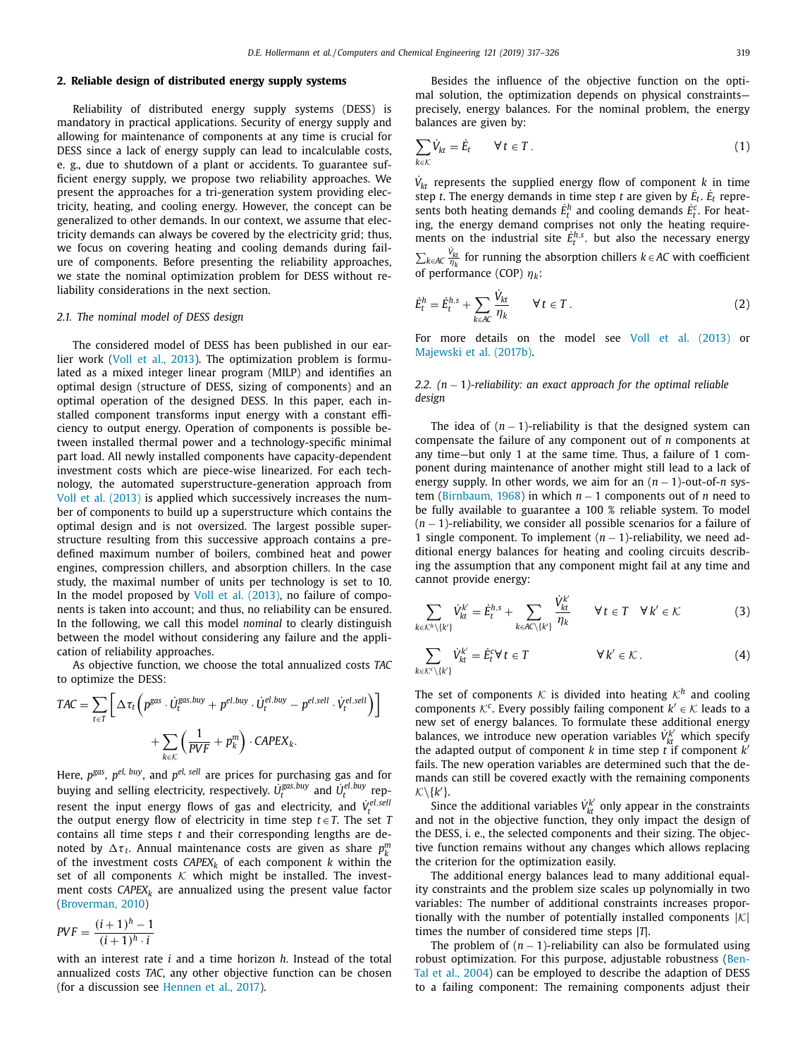# <span id="page-2-0"></span>**2. Reliable design of distributed energy supply systems**

Reliability of distributed energy supply systems (DESS) is mandatory in practical applications. Security of energy supply and allowing for maintenance of components at any time is crucial for DESS since a lack of energy supply can lead to incalculable costs, e. g., due to shutdown of a plant or accidents. To guarantee sufficient energy supply, we propose two reliability approaches. We present the approaches for a tri-generation system providing electricity, heating, and cooling energy. However, the concept can be generalized to other demands. In our context, we assume that electricity demands can always be covered by the electricity grid; thus, we focus on covering heating and cooling demands during failure of components. Before presenting the reliability approaches, we state the nominal optimization problem for DESS without reliability considerations in the next section.

#### *2.1. The nominal model of DESS design*

The considered model of DESS has been published in our earlier work (Voll et al., [2013\)](#page-9-0). The optimization problem is formulated as a mixed integer linear program (MILP) and identifies an optimal design (structure of DESS, sizing of components) and an optimal operation of the designed DESS. In this paper, each installed component transforms input energy with a constant efficiency to output energy. Operation of components is possible between installed thermal power and a technology-specific minimal part load. All newly installed components have capacity-dependent investment costs which are piece-wise linearized. For each technology, the automated superstructure-generation approach from Voll et al. [\(2013\)](#page-9-0) is applied which successively increases the number of components to build up a superstructure which contains the optimal design and is not oversized. The largest possible superstructure resulting from this successive approach contains a predefined maximum number of boilers, combined heat and power engines, compression chillers, and absorption chillers. In the case study, the maximal number of units per technology is set to 10. In the model proposed by Voll et al. [\(2013\),](#page-9-0) no failure of components is taken into account; and thus, no reliability can be ensured. In the following, we call this model *nominal* to clearly distinguish between the model without considering any failure and the application of reliability approaches.

As objective function, we choose the total annualized costs *TAC* to optimize the DESS:

$$
TAC = \sum_{t \in T} \left[ \Delta \tau_t \left( p^{gas} \cdot \dot{U}_t^{gas, buy} + p^{el, buy} \cdot \dot{U}_t^{el, buy} - p^{el, sell} \cdot \dot{V}_t^{el, sell} \right) \right] + \sum_{k \in K} \left( \frac{1}{PVF} + p_k^m \right) \cdot CAPEX_k.
$$

Here,  $p^{gas}$ ,  $p^{el}$ ,  $buy$ , and  $p^{el}$ ,  $sell$  are prices for purchasing gas and for buying and selling electricity, respectively.  $\dot{U}_t^{\text{gas},\text{buy}}$  and  $\dot{U}_t^{\text{el},\text{buy}}$  represent the input energy flows of gas and electricity, and  $\dot{V}_{t}^{el, sell}$ the output energy flow of electricity in time step  $t \in T$ . The set *T* contains all time steps *t* and their corresponding lengths are denoted by  $\Delta \tau_t$ . Annual maintenance costs are given as share  $p_k^m$ of the investment costs  $CAPEX_k$  of each component  $k$  within the set of all components  $K$  which might be installed. The investment costs  $CAPEX_k$  are annualized using the present value factor [\(Broverman,](#page-8-0) 2010)

$$
PVF = \frac{(i+1)^h - 1}{(i+1)^h \cdot i}
$$

with an interest rate *i* and a time horizon *h*. Instead of the total annualized costs *TAC*, any other objective function can be chosen (for a discussion see [Hennen](#page-8-0) et al., 2017).

Besides the influence of the objective function on the optimal solution, the optimization depends on physical constraints precisely, energy balances. For the nominal problem, the energy balances are given by:

$$
\sum_{k \in \mathcal{K}} \dot{V}_{kt} = \dot{E}_t \qquad \forall \, t \in T \,. \tag{1}
$$

 $\dot{V}_{kt}$  represents the supplied energy flow of component *k* in time step *t*. The energy demands in time step *t* are given by  $\dot{E}_t$ .  $\dot{E}_t$  represents both heating demands  $\dot{E}_t^h$  and cooling demands  $\dot{E}_t^c$ . For heating, the energy demand comprises not only the heating requirements on the industrial site  $\dot{E}_t^{h,s}$ , but also the necessary energy  $\sum_{k ∈ A C}$   $\frac{v_{kt}}{\eta_k}$  for running the absorption chillers *k* ∈ *AC* with coefficient of performance (COP) η*k*:

$$
\dot{E}_t^h = \dot{E}_t^{h,s} + \sum_{k \in AC} \frac{\dot{V}_{kt}}{\eta_k} \qquad \forall \, t \in T \,. \tag{2}
$$

For more details on the model see Voll et al. [\(2013\)](#page-9-0) or [Majewski](#page-8-0) et al. (2017b).

# *2.2. (n* − 1*)-reliability: an exact approach for the optimal reliable design*

The idea of  $(n - 1)$ -reliability is that the designed system can compensate the failure of any component out of *n* components at any time—but only 1 at the same time. Thus, a failure of 1 component during maintenance of another might still lead to a lack of energy supply. In other words, we aim for an  $(n - 1)$ -out-of-*n* system [\(Birnbaum,](#page-8-0) 1968) in which *n* − 1 components out of *n* need to be fully available to guarantee a 100 % reliable system. To model (*n* − 1)-reliability, we consider all possible scenarios for a failure of 1 single component. To implement (*n* − 1)-reliability, we need additional energy balances for heating and cooling circuits describing the assumption that any component might fail at any time and cannot provide energy:

$$
\sum_{k \in \mathcal{K}^h \setminus \{k'\}} V_{kt}^{k'} = \dot{E}_t^{h,s} + \sum_{k \in AC \setminus \{k'\}} \frac{\dot{V}_{kt}^{k'}}{\eta_k} \qquad \forall \, t \in T \quad \forall \, k' \in \mathcal{K} \tag{3}
$$

$$
\sum_{k \in \mathcal{K}^c \setminus \{k'\}} \dot{V}_{kt}^{k'} = \dot{E}_t^c \forall t \in T \qquad \forall k' \in \mathcal{K}.
$$
 (4)

The set of components  $K$  is divided into heating  $K<sup>h</sup>$  and cooling components  $K^c$ . Every possibly failing component  $k' \in K$  leads to a new set of energy balances. To formulate these additional energy balances, we introduce new operation variables  $V_{kt}^{k'}$  which specify the adapted output of component  $k$  in time step  $\hat{t}$  if component  $k'$ fails. The new operation variables are determined such that the demands can still be covered exactly with the remaining components  $K\backslash\{k'\}.$ 

Since the additional variables  $V_{kt}^{k'}$  only appear in the constraints and not in the objective function, they only impact the design of the DESS, i. e., the selected components and their sizing. The objective function remains without any changes which allows replacing the criterion for the optimization easily.

The additional energy balances lead to many additional equality constraints and the problem size scales up polynomially in two variables: The number of additional constraints increases proportionally with the number of potentially installed components  $|K|$ times the number of considered time steps |*T*|.

The problem of  $(n - 1)$ -reliability can also be formulated using robust [optimization.](#page-8-0) For this purpose, adjustable robustness (Ben-Tal et al., 2004) can be employed to describe the adaption of DESS to a failing component: The remaining components adjust their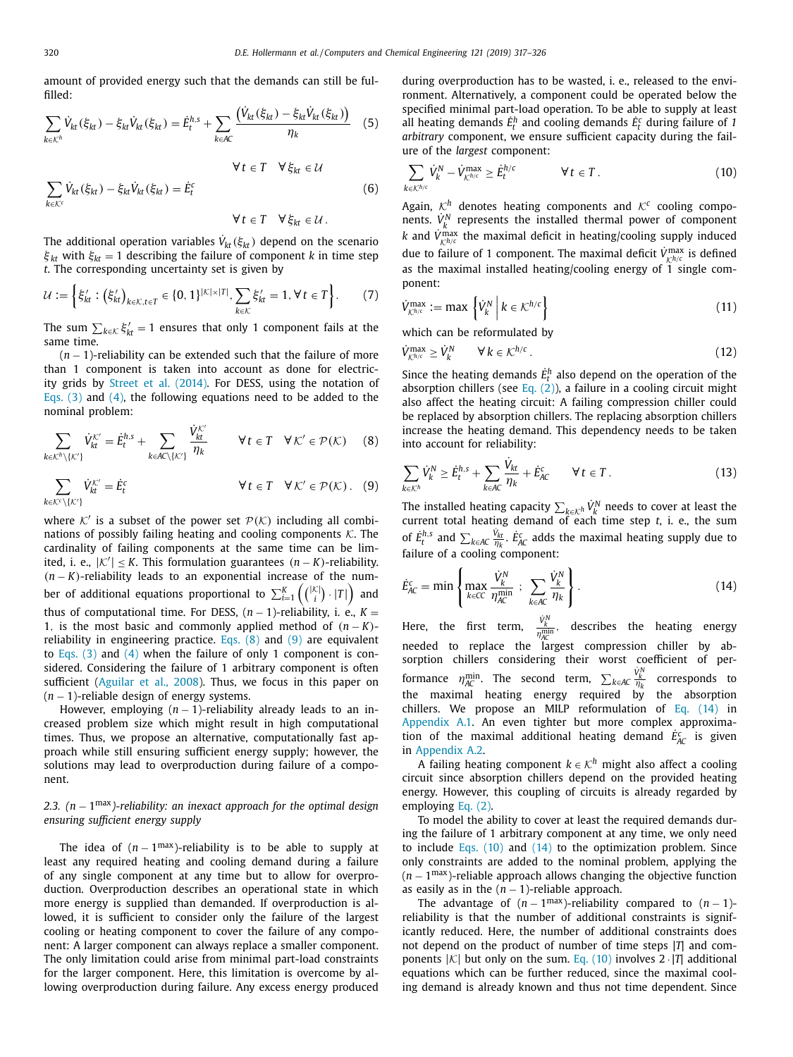<span id="page-3-0"></span>amount of provided energy such that the demands can still be fulfilled:

$$
\sum_{k \in \mathcal{K}^h} \dot{V}_{kt}(\xi_{kt}) - \xi_{kt} \dot{V}_{kt}(\xi_{kt}) = \dot{E}_t^{h,s} + \sum_{k \in AC} \frac{(\dot{V}_{kt}(\xi_{kt}) - \xi_{kt} \dot{V}_{kt}(\xi_{kt}))}{\eta_k} \tag{5}
$$
\n
$$
\forall t \in T \quad \forall \xi_{kt} \in \mathcal{U}
$$
\n
$$
\sum_{k \in \mathcal{K}^c} \dot{V}_{kt}(\xi_{kt}) - \xi_{kt} \dot{V}_{kt}(\xi_{kt}) = \dot{E}_t^c \tag{6}
$$
\n
$$
\forall t \in T \quad \forall \xi_{kt} \in \mathcal{U} \tag{6}
$$

The additional operation variables  $\dot{V}_{kt}(\xi_{kt})$  depend on the scenario  $\xi_{kt}$  with  $\xi_{kt} = 1$  describing the failure of component *k* in time step *t*. The corresponding uncertainty set is given by

$$
\mathcal{U} := \left\{ \xi'_{kt} : \left( \xi'_{kt} \right)_{k \in \mathcal{K}, t \in T} \in \{0, 1\}^{|\mathcal{K}| \times |\mathcal{T}|}, \sum_{k \in \mathcal{K}} \xi'_{kt} = 1, \forall t \in \mathcal{T} \right\}.
$$
 (7)

The sum  $\sum_{k \in \mathcal{K}} \xi'_{kt} = 1$  ensures that only 1 component fails at the same time.

(*n* − 1)-reliability can be extended such that the failure of more than 1 component is taken into account as done for electricity grids by Street et al. [\(2014\).](#page-9-0) For DESS, using the notation of [Eqs.](#page-2-0) (3) and [\(4\),](#page-2-0) the following equations need to be added to the nominal problem:

$$
\sum_{k \in \mathcal{K}^h \setminus \{ \mathcal{K}' \}} \dot{V}_{kt}^{\mathcal{K}'} = \dot{E}_t^{h,s} + \sum_{k \in \mathcal{A} \setminus \{ \mathcal{K}' \}} \frac{\dot{V}_{kt}^{\mathcal{K}'}}{\eta_k} \qquad \forall \, t \in T \quad \forall \, \mathcal{K}' \in \mathcal{P}(\mathcal{K}) \tag{8}
$$

$$
\sum_{k \in \mathcal{K}^c \setminus \{ \mathcal{K}^{\prime} \}} \dot{V}_{kt}^{\mathcal{K}^{\prime}} = \dot{E}_t^c \qquad \qquad \forall \ t \in T \quad \forall \ \mathcal{K}^{\prime} \in \mathcal{P}(\mathcal{K}) \, . \tag{9}
$$

where K' is a subset of the power set  $\mathcal{P}(\mathcal{K})$  including all combinations of possibly failing heating and cooling components  $K$ . The cardinality of failing components at the same time can be limited, i. e.,  $|K'|$  ≤ *K*. This formulation guarantees  $(n − K)$ -reliability. (*n* − *K*)-reliability leads to an exponential increase of the number of additional equations proportional to  $\sum_{i=1}^{K} \left( \binom{|{\cal K}|}{i} \cdot |T| \right)$  and thus of computational time. For DESS,  $(n-1)$ -reliability, i. e.,  $K =$ 1, is the most basic and commonly applied method of  $(n - K)$ reliability in engineering practice. Eqs.  $(8)$  and  $(9)$  are equivalent to [Eqs.](#page-2-0)  $(3)$  and  $(4)$  when the failure of only 1 component is considered. Considering the failure of 1 arbitrary component is often sufficient [\(Aguilar](#page-8-0) et al., 2008). Thus, we focus in this paper on (*n* − 1)-reliable design of energy systems.

However, employing  $(n - 1)$ -reliability already leads to an increased problem size which might result in high computational times. Thus, we propose an alternative, computationally fast approach while still ensuring sufficient energy supply; however, the solutions may lead to overproduction during failure of a component.

# *2.3. (n* − 1max*)-reliability: an inexact approach for the optimal design ensuring sufficient energy supply*

The idea of  $(n - 1^{max})$ -reliability is to be able to supply at least any required heating and cooling demand during a failure of any single component at any time but to allow for overproduction. Overproduction describes an operational state in which more energy is supplied than demanded. If overproduction is allowed, it is sufficient to consider only the failure of the largest cooling or heating component to cover the failure of any component: A larger component can always replace a smaller component. The only limitation could arise from minimal part-load constraints for the larger component. Here, this limitation is overcome by allowing overproduction during failure. Any excess energy produced during overproduction has to be wasted, i. e., released to the environment. Alternatively, a component could be operated below the specified minimal part-load operation. To be able to supply at least all heating demands  $\dot{E}^h_t$  and cooling demands  $\dot{E}^c_t$  during failure of 1 *arbitrary* component, we ensure sufficient capacity during the failure of the *largest* component:

$$
\sum_{k \in \mathcal{K}^{h/c}} \dot{V}_k^N - \dot{V}_{\mathcal{K}^{h/c}}^{\max} \ge \dot{E}_t^{h/c} \qquad \forall \ t \in T.
$$
 (10)

Again,  $K^h$  denotes heating components and  $K^c$  cooling components.  $V^N_k$  represents the installed thermal power of component *k* and  $V_{k^{h/c}}^{\text{max}}$  the maximal deficit in heating/cooling supply induced due to failure of 1 component. The maximal deficit  $\dot{V}^{\text{max}}_{ch/c}$  is defined as the maximal installed heating/cooling energy of  $\overline{1}$  single component:

$$
\dot{V}_{\mathcal{K}^{h/c}}^{\max} := \max \left\{ \dot{V}_k^N \middle| k \in \mathcal{K}^{h/c} \right\} \tag{11}
$$

which can be reformulated by

$$
\dot{V}_{\mathcal{K}^{h/c}}^{\max} \ge \dot{V}_k^N \qquad \forall \, k \in \mathcal{K}^{h/c} \,. \tag{12}
$$

Since the heating demands  $\dot{E}_t^h$  also depend on the operation of the absorption chillers (see Eq.  $(2)$ ), a failure in a cooling circuit might also affect the heating circuit: A failing compression chiller could be replaced by absorption chillers. The replacing absorption chillers increase the heating demand. This dependency needs to be taken into account for reliability:

$$
\sum_{k \in \mathcal{K}^h} \dot{V}_k^N \ge \dot{E}_t^{h,s} + \sum_{k \in AC} \frac{\dot{V}_{kt}}{\eta_k} + \dot{E}_{AC}^c \qquad \forall \, t \in T \,. \tag{13}
$$

The installed heating capacity  $\sum_{k \in \mathcal{K}^h} \dot{V}_k^N$  needs to cover at least the current total heating demand of each time step *t*, i. e., the sum of  $\dot{E}_t^{h,s}$  and  $\sum_{k \in AC} \frac{\dot{V}_{kt}}{\eta_k}$ .  $\dot{E}_{AC}^c$  adds the maximal heating supply due to failure of a cooling component:

$$
\dot{E}_{AC}^{c} = \min \left\{ \max_{k \in CC} \frac{\dot{V}_{k}^{N}}{\eta_{AC}^{\min}} \; ; \; \sum_{k \in AC} \frac{\dot{V}_{k}^{N}}{\eta_{k}} \right\}.
$$
 (14)

Here, the first term,  $\frac{\dot{V}_k^N}{\eta_{AC}^{min}}$ , describes the heating energy needed to replace the largest compression chiller by absorption chillers considering their worst coefficient of performance  $\eta_{AC}^{\min}$ . The second term,  $\sum_{k \in AC} \frac{\dot{V}_k^N}{\eta_k}$  corresponds to the maximal heating energy required by the absorption chillers. We propose an MILP reformulation of Eq. (14) in [Appendix](#page-7-0) A.1. An even tighter but more complex approximation of the maximal additional heating demand  $\dot{E}_{AC}^c$  is given in [Appendix](#page-7-0) A.2.

A failing heating component  $k \in \mathcal{K}^h$  might also affect a cooling circuit since absorption chillers depend on the provided heating energy. However, this coupling of circuits is already regarded by employing Eq. [\(2\).](#page-2-0)

To model the ability to cover at least the required demands during the failure of 1 arbitrary component at any time, we only need to include Eqs.  $(10)$  and  $(14)$  to the optimization problem. Since only constraints are added to the nominal problem, applying the (*n* − 1max)-reliable approach allows changing the objective function as easily as in the  $(n - 1)$ -reliable approach.

The advantage of  $(n - 1^{\text{max}})$ -reliability compared to  $(n - 1)$ reliability is that the number of additional constraints is significantly reduced. Here, the number of additional constraints does not depend on the product of number of time steps |*T*| and components  $|K|$  but only on the sum. Eq. (10) involves  $2 \cdot |T|$  additional equations which can be further reduced, since the maximal cooling demand is already known and thus not time dependent. Since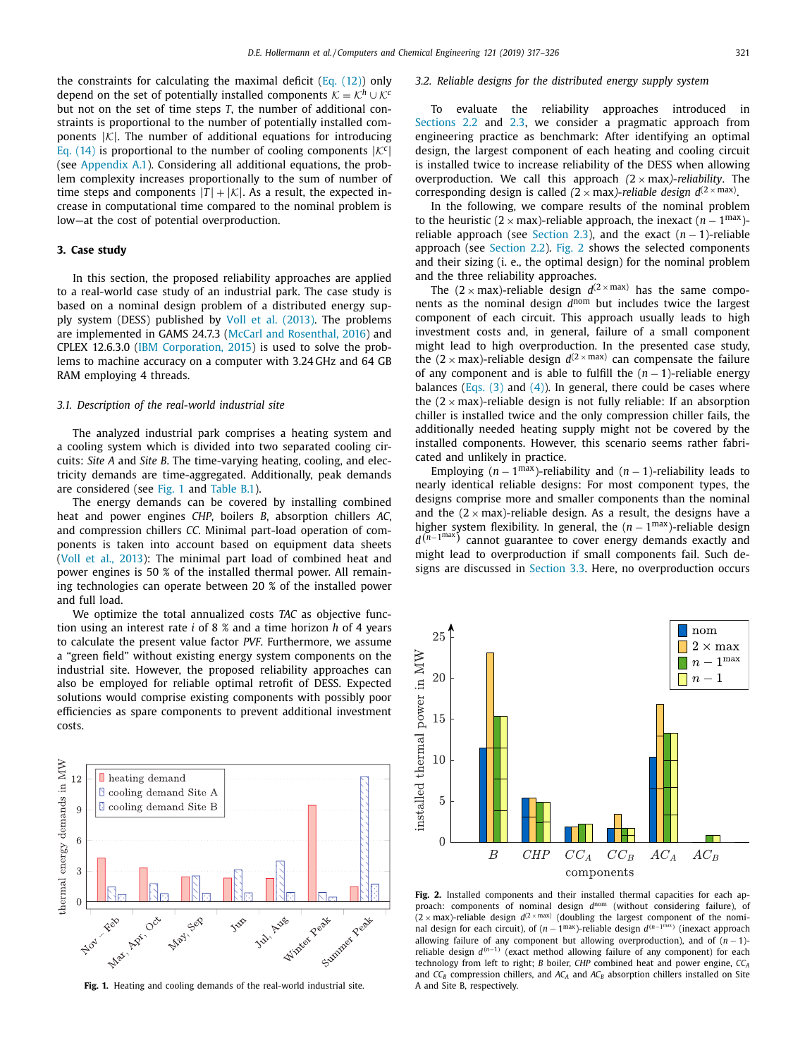<span id="page-4-0"></span>the constraints for calculating the maximal deficit (Eq.  $(12)$ ) only depend on the set of potentially installed components  $K = \mathcal{K}^h \cup \mathcal{K}^c$ but not on the set of time steps *T*, the number of additional constraints is proportional to the number of potentially installed components  $|\mathcal{K}|$ . The number of additional equations for introducing Eq. [\(14\)](#page-3-0) is proportional to the number of cooling components  $|\mathcal{K}^c|$ (see [Appendix](#page-7-0) A.1). Considering all additional equations, the problem complexity increases proportionally to the sum of number of time steps and components  $|T| + |\mathcal{K}|$ . As a result, the expected increase in computational time compared to the nominal problem is low—at the cost of potential overproduction.

# **3. Case study**

In this section, the proposed reliability approaches are applied to a real-world case study of an industrial park. The case study is based on a nominal design problem of a distributed energy supply system (DESS) published by Voll et al. [\(2013\).](#page-9-0) The problems are implemented in GAMS 24.7.3 (McCarl and [Rosenthal,](#page-8-0) 2016) and CPLEX 12.6.3.0 (IBM [Corporation,](#page-8-0) 2015) is used to solve the problems to machine accuracy on a computer with 3.24 GHz and 64 GB RAM employing 4 threads.

# *3.1. Description of the real-world industrial site*

The analyzed industrial park comprises a heating system and a cooling system which is divided into two separated cooling circuits: *Site A* and *Site B*. The time-varying heating, cooling, and electricity demands are time-aggregated. Additionally, peak demands are considered (see Fig. 1 and [Table](#page-7-0) B.1).

The energy demands can be covered by installing combined heat and power engines *CHP*, boilers *B*, absorption chillers *AC*, and compression chillers *CC*. Minimal part-load operation of components is taken into account based on equipment data sheets (Voll et al., [2013\)](#page-9-0): The minimal part load of combined heat and power engines is 50 % of the installed thermal power. All remaining technologies can operate between 20 % of the installed power and full load.

We optimize the total annualized costs *TAC* as objective function using an interest rate *i* of 8 % and a time horizon *h* of 4 years to calculate the present value factor *PVF*. Furthermore, we assume a "green field" without existing energy system components on the industrial site. However, the proposed reliability approaches can also be employed for reliable optimal retrofit of DESS. Expected solutions would comprise existing components with possibly poor efficiencies as spare components to prevent additional investment costs.



**Fig. 1.** Heating and cooling demands of the real-world industrial site.

## *3.2. Reliable designs for the distributed energy supply system*

To evaluate the reliability approaches introduced in [Sections](#page-2-0) 2.2 and [2.3,](#page-3-0) we consider a pragmatic approach from engineering practice as benchmark: After identifying an optimal design, the largest component of each heating and cooling circuit is installed twice to increase reliability of the DESS when allowing overproduction. We call this approach *(*2 × max*)-reliability*. The corresponding design is called  $(2 \times max)$ -reliable design  $d^{(2 \times max)}$ .

In the following, we compare results of the nominal problem to the heuristic (2 × max)-reliable approach, the inexact  $(n - 1^{max})$ -reliable approach (see [Section](#page-3-0) 2.3), and the exact  $(n - 1)$ -reliable approach (see [Section](#page-2-0) 2.2). Fig. 2 shows the selected components and their sizing (i. e., the optimal design) for the nominal problem and the three reliability approaches.

The  $(2 \times max)$ -reliable design  $d^{(2 \times max)}$  has the same components as the nominal design *d*nom but includes twice the largest component of each circuit. This approach usually leads to high investment costs and, in general, failure of a small component might lead to high overproduction. In the presented case study, the  $(2 \times \text{max})$ -reliable design  $d^{(2 \times \text{max})}$  can compensate the failure of any component and is able to fulfill the  $(n - 1)$ -reliable energy balances [\(Eqs.](#page-2-0)  $(3)$  and  $(4)$ ). In general, there could be cases where the  $(2 \times max)$ -reliable design is not fully reliable: If an absorption chiller is installed twice and the only compression chiller fails, the additionally needed heating supply might not be covered by the installed components. However, this scenario seems rather fabricated and unlikely in practice.

Employing  $(n - 1^{max})$ -reliability and  $(n - 1)$ -reliability leads to nearly identical reliable designs: For most component types, the designs comprise more and smaller components than the nominal and the  $(2 \times max)$ -reliable design. As a result, the designs have a higher system flexibility. In general, the  $(n - 1^{\text{max}})$ -reliable design *d*<sup>( $n$ −1max)</sub> cannot guarantee to cover energy demands exactly and</sup> might lead to overproduction if small components fail. Such designs are discussed in [Section](#page-5-0) 3.3. Here, no overproduction occurs



**Fig. 2.** Installed components and their installed thermal capacities for each approach: components of nominal design *d*nom (without considering failure), of  $(2 \times \text{max})$ -reliable design  $d^{(2 \times \text{max})}$  (doubling the largest component of the nominal design for each circuit), of (*n* − 1max)-reliable design *d*(*n*−1max ) (inexact approach allowing failure of any component but allowing overproduction), and of  $(n - 1)$ reliable design *d*(*n*−1) (exact method allowing failure of any component) for each technology from left to right; *B* boiler, *CHP* combined heat and power engine, *CCA* and  $CC_B$  compression chillers, and  $AC_A$  and  $AC_B$  absorption chillers installed on Site A and Site B, respectively.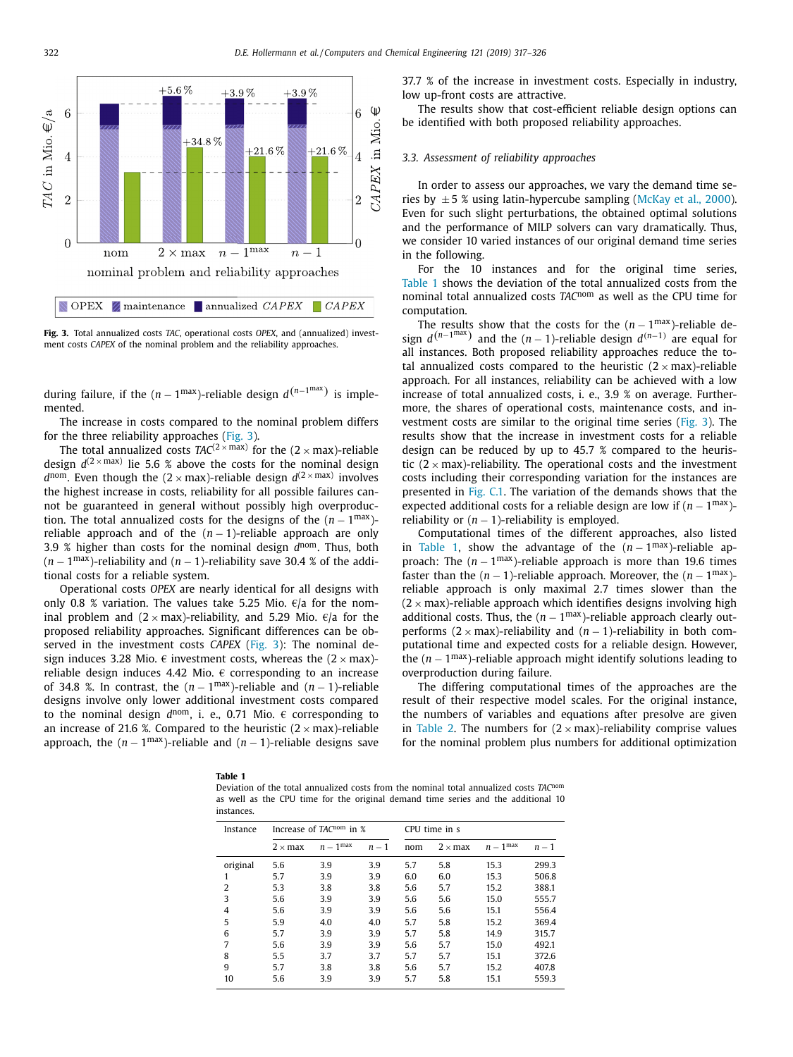<span id="page-5-0"></span>

**Fig. 3.** Total annualized costs *TAC*, operational costs *OPEX*, and (annualized) investment costs *CAPEX* of the nominal problem and the reliability approaches.

during failure, if the  $(n - 1^{\max})$ -reliable design  $d^{(n-1^{\max})}$  is implemented.

The increase in costs compared to the nominal problem differs for the three reliability approaches (Fig. 3).

The total annualized costs  $TAC^{(2 \times max)}$  for the  $(2 \times max)$ -reliable design  $d^{(2 \times max)}$  lie 5.6 % above the costs for the nominal design  $d^{\text{nom}}$ . Even though the (2 x max)-reliable design  $d^{(2 \times \text{max})}$  involves the highest increase in costs, reliability for all possible failures cannot be guaranteed in general without possibly high overproduction. The total annualized costs for the designs of the  $(n - 1^{\text{max}})$ reliable approach and of the  $(n - 1)$ -reliable approach are only 3.9 % higher than costs for the nominal design *d*nom. Thus, both  $(n-1^{\text{max}})$ -reliability and  $(n-1)$ -reliability save 30.4 % of the additional costs for a reliable system.

Operational costs *OPEX* are nearly identical for all designs with only 0.8 % variation. The values take 5.25 Mio.  $\epsilon/a$  for the nominal problem and  $(2 \times max)$ -reliability, and 5.29 Mio.  $\epsilon/a$  for the proposed reliability approaches. Significant differences can be observed in the investment costs *CAPEX* (Fig. 3): The nominal design induces 3.28 Mio.  $\epsilon$  investment costs, whereas the  $(2 \times max)$ reliable design induces 4.42 Mio.  $\epsilon$  corresponding to an increase of 34.8 %. In contrast, the  $(n - 1^{\text{max}})$ -reliable and  $(n - 1)$ -reliable designs involve only lower additional investment costs compared to the nominal design  $d^{nom}$ , i. e., 0.71 Mio.  $\epsilon$  corresponding to an increase of 21.6 %. Compared to the heuristic  $(2 \times max)$ -reliable approach, the  $(n - 1^{\text{max}})$ -reliable and  $(n - 1)$ -reliable designs save 37.7 % of the increase in investment costs. Especially in industry, low up-front costs are attractive.

The results show that cost-efficient reliable design options can be identified with both proposed reliability approaches.

## *3.3. Assessment of reliability approaches*

In order to assess our approaches, we vary the demand time series by  $\pm 5$  % using latin-hypercube sampling [\(McKay](#page-8-0) et al., 2000). Even for such slight perturbations, the obtained optimal solutions and the performance of MILP solvers can vary dramatically. Thus, we consider 10 varied instances of our original demand time series in the following.

For the 10 instances and for the original time series, Table 1 shows the deviation of the total annualized costs from the nominal total annualized costs *TAC*nom as well as the CPU time for computation.

The results show that the costs for the  $(n-1^{\text{max}})$ -reliable design  $d^{(n-1)^{max}}$  and the  $(n-1)$ -reliable design  $d^{(n-1)}$  are equal for all instances. Both proposed reliability approaches reduce the total annualized costs compared to the heuristic  $(2 \times max)$ -reliable approach. For all instances, reliability can be achieved with a low increase of total annualized costs, i. e., 3.9 % on average. Furthermore, the shares of operational costs, maintenance costs, and investment costs are similar to the original time series (Fig. 3). The results show that the increase in investment costs for a reliable design can be reduced by up to 45.7 % compared to the heuristic  $(2 \times max)$ -reliability. The operational costs and the investment costs including their corresponding variation for the instances are presented in [Fig.](#page-8-0) C.1. The variation of the demands shows that the expected additional costs for a reliable design are low if (*n* − 1max) reliability or  $(n - 1)$ -reliability is employed.

Computational times of the different approaches, also listed in Table 1, show the advantage of the  $(n - 1^{\text{max}})$ -reliable approach: The  $(n - 1^{max})$ -reliable approach is more than 19.6 times faster than the  $(n - 1)$ -reliable approach. Moreover, the  $(n - 1^{\max})$ reliable approach is only maximal 2.7 times slower than the  $(2 \times max)$ -reliable approach which identifies designs involving high additional costs. Thus, the  $(n - 1^{\text{max}})$ -reliable approach clearly outperforms  $(2 \times max)$ -reliability and  $(n - 1)$ -reliability in both computational time and expected costs for a reliable design. However, the  $(n - 1<sup>max</sup>)$ -reliable approach might identify solutions leading to overproduction during failure.

The differing computational times of the approaches are the result of their respective model scales. For the original instance, the numbers of variables and equations after presolve are given in [Table](#page-6-0) 2. The numbers for  $(2 \times max)$ -reliability comprise values for the nominal problem plus numbers for additional optimization

|--|

Deviation of the total annualized costs from the nominal total annualized costs *TAC*nom as well as the CPU time for the original demand time series and the additional 10 instances.

| Instance | Increase of $TAC^{nom}$ in $%$ |                    |       |     | CPU time in s  |                      |       |  |  |
|----------|--------------------------------|--------------------|-------|-----|----------------|----------------------|-------|--|--|
|          | $2 \times max$                 | $n-1^{\text{max}}$ | $n-1$ | nom | $2 \times max$ | $n-1$ <sup>max</sup> | $n-1$ |  |  |
| original | 5.6                            | 3.9                | 3.9   | 5.7 | 5.8            | 15.3                 | 299.3 |  |  |
| 1        | 5.7                            | 3.9                | 3.9   | 6.0 | 6.0            | 15.3                 | 506.8 |  |  |
| 2        | 5.3                            | 3.8                | 3.8   | 5.6 | 5.7            | 15.2                 | 388.1 |  |  |
| 3        | 5.6                            | 3.9                | 3.9   | 5.6 | 5.6            | 15.0                 | 555.7 |  |  |
| 4        | 5.6                            | 3.9                | 3.9   | 5.6 | 5.6            | 15.1                 | 556.4 |  |  |
| 5        | 5.9                            | 4.0                | 4.0   | 5.7 | 5.8            | 15.2                 | 369.4 |  |  |
| 6        | 5.7                            | 3.9                | 3.9   | 5.7 | 5.8            | 14.9                 | 315.7 |  |  |
| 7        | 5.6                            | 3.9                | 3.9   | 5.6 | 5.7            | 15.0                 | 492.1 |  |  |
| 8        | 5.5                            | 3.7                | 3.7   | 5.7 | 5.7            | 15.1                 | 372.6 |  |  |
| 9        | 5.7                            | 3.8                | 3.8   | 5.6 | 5.7            | 15.2                 | 407.8 |  |  |
| 10       | 5.6                            | 3.9                | 3.9   | 5.7 | 5.8            | 15.1                 | 559.3 |  |  |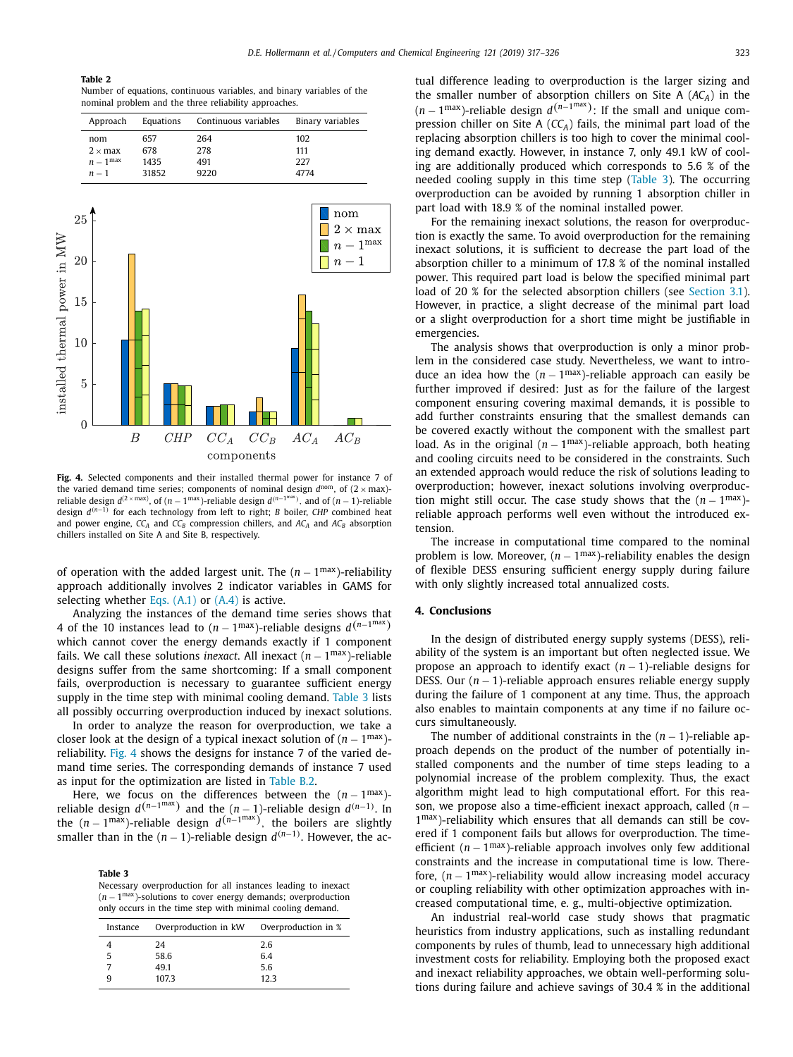#### <span id="page-6-0"></span>**Table 2**

Number of equations, continuous variables, and binary variables of the nominal problem and the three reliability approaches.

| Approach             | Equations | Continuous variables | Binary variables |
|----------------------|-----------|----------------------|------------------|
| nom                  | 657       | 264                  | 102              |
| $2 \times max$       | 678       | 278                  | 111              |
| $n-1$ <sup>max</sup> | 1435      | 491                  | 227              |
| $n-1$                | 31852     | 9220                 | 4774             |



**Fig. 4.** Selected components and their installed thermal power for instance 7 of the varied demand time series; components of nominal design  $d^{nom}$ , of  $(2 \times max)$ reliable design  $d^{(2 \times max)}$ , of  $(n - 1^{\max})$ -reliable design  $d^{(n-1^{\max})}$ , and of  $(n - 1)$ -reliable design *d*(*n*−1) for each technology from left to right; *B* boiler, *CHP* combined heat and power engine,  $CC_A$  and  $CC_B$  compression chillers, and  $AC_A$  and  $AC_B$  absorption chillers installed on Site A and Site B, respectively.

of operation with the added largest unit. The (*n* − 1max)-reliability approach additionally involves 2 indicator variables in GAMS for selecting whether Eqs.  $(A.1)$  or  $(A.4)$  is active.

Analyzing the instances of the demand time series shows that 4 of the 10 instances lead to  $(n - 1^{\text{max}})$ -reliable designs  $d^{(n-1^{\text{max}})}$ which cannot cover the energy demands exactly if 1 component fails. We call these solutions *inexact*. All inexact  $(n - 1^{max})$ -reliable designs suffer from the same shortcoming: If a small component fails, overproduction is necessary to guarantee sufficient energy supply in the time step with minimal cooling demand. Table 3 lists all possibly occurring overproduction induced by inexact solutions.

In order to analyze the reason for overproduction, we take a closer look at the design of a typical inexact solution of  $(n - 1^{\text{max}})$ reliability. Fig. 4 shows the designs for instance 7 of the varied demand time series. The corresponding demands of instance 7 used as input for the optimization are listed in [Table](#page-7-0) B.2.

Here, we focus on the differences between the  $(n - 1^{\text{max}})$ reliable design  $d^{(n-1)^{max}}$  and the  $(n-1)$ -reliable design  $d^{(n-1)}$ . In the (*n* − 1max)-reliable design *d*(*n*−1max ), the boilers are slightly smaller than in the  $(n - 1)$ -reliable design  $d^{(n-1)}$ . However, the ac-

#### **Table 3**

Necessary overproduction for all instances leading to inexact (*n* − 1max)-solutions to cover energy demands; overproduction only occurs in the time step with minimal cooling demand.

| Instance | Overproduction in kW | Overproduction in % |
|----------|----------------------|---------------------|
|          | 24                   | 2.6                 |
|          | 58.6                 | 6.4                 |
|          | 49.1                 | 5.6                 |
|          | 107.3                | 12.3                |

tual difference leading to overproduction is the larger sizing and the smaller number of absorption chillers on Site A (*ACA*) in the  $(n-1^{\text{max}})$ -reliable design  $d^{(n-1^{\text{max}})}$ : If the small and unique compression chiller on Site A (*CCA*) fails, the minimal part load of the replacing absorption chillers is too high to cover the minimal cooling demand exactly. However, in instance 7, only 49.1 kW of cooling are additionally produced which corresponds to 5.6 % of the needed cooling supply in this time step (Table 3). The occurring overproduction can be avoided by running 1 absorption chiller in part load with 18.9 % of the nominal installed power.

For the remaining inexact solutions, the reason for overproduction is exactly the same. To avoid overproduction for the remaining inexact solutions, it is sufficient to decrease the part load of the absorption chiller to a minimum of 17.8 % of the nominal installed power. This required part load is below the specified minimal part load of 20 % for the selected absorption chillers (see [Section](#page-4-0) 3.1). However, in practice, a slight decrease of the minimal part load or a slight overproduction for a short time might be justifiable in emergencies.

The analysis shows that overproduction is only a minor problem in the considered case study. Nevertheless, we want to introduce an idea how the  $(n - 1^{\text{max}})$ -reliable approach can easily be further improved if desired: Just as for the failure of the largest component ensuring covering maximal demands, it is possible to add further constraints ensuring that the smallest demands can be covered exactly without the component with the smallest part load. As in the original  $(n - 1^{\text{max}})$ -reliable approach, both heating and cooling circuits need to be considered in the constraints. Such an extended approach would reduce the risk of solutions leading to overproduction; however, inexact solutions involving overproduction might still occur. The case study shows that the  $(n - 1^{\text{max}})$ reliable approach performs well even without the introduced extension.

The increase in computational time compared to the nominal problem is low. Moreover,  $(n - 1^{max})$ -reliability enables the design of flexible DESS ensuring sufficient energy supply during failure with only slightly increased total annualized costs.

# **4. Conclusions**

In the design of distributed energy supply systems (DESS), reliability of the system is an important but often neglected issue. We propose an approach to identify exact (*n* − 1)-reliable designs for DESS. Our (*n* − 1)-reliable approach ensures reliable energy supply during the failure of 1 component at any time. Thus, the approach also enables to maintain components at any time if no failure occurs simultaneously.

The number of additional constraints in the  $(n - 1)$ -reliable approach depends on the product of the number of potentially installed components and the number of time steps leading to a polynomial increase of the problem complexity. Thus, the exact algorithm might lead to high computational effort. For this reason, we propose also a time-efficient inexact approach, called (*n* − 1max)-reliability which ensures that all demands can still be covered if 1 component fails but allows for overproduction. The timeefficient  $(n - 1^{\text{max}})$ -reliable approach involves only few additional constraints and the increase in computational time is low. Therefore,  $(n - 1^{\text{max}})$ -reliability would allow increasing model accuracy or coupling reliability with other optimization approaches with increased computational time, e. g., multi-objective optimization.

An industrial real-world case study shows that pragmatic heuristics from industry applications, such as installing redundant components by rules of thumb, lead to unnecessary high additional investment costs for reliability. Employing both the proposed exact and inexact reliability approaches, we obtain well-performing solutions during failure and achieve savings of 30.4 % in the additional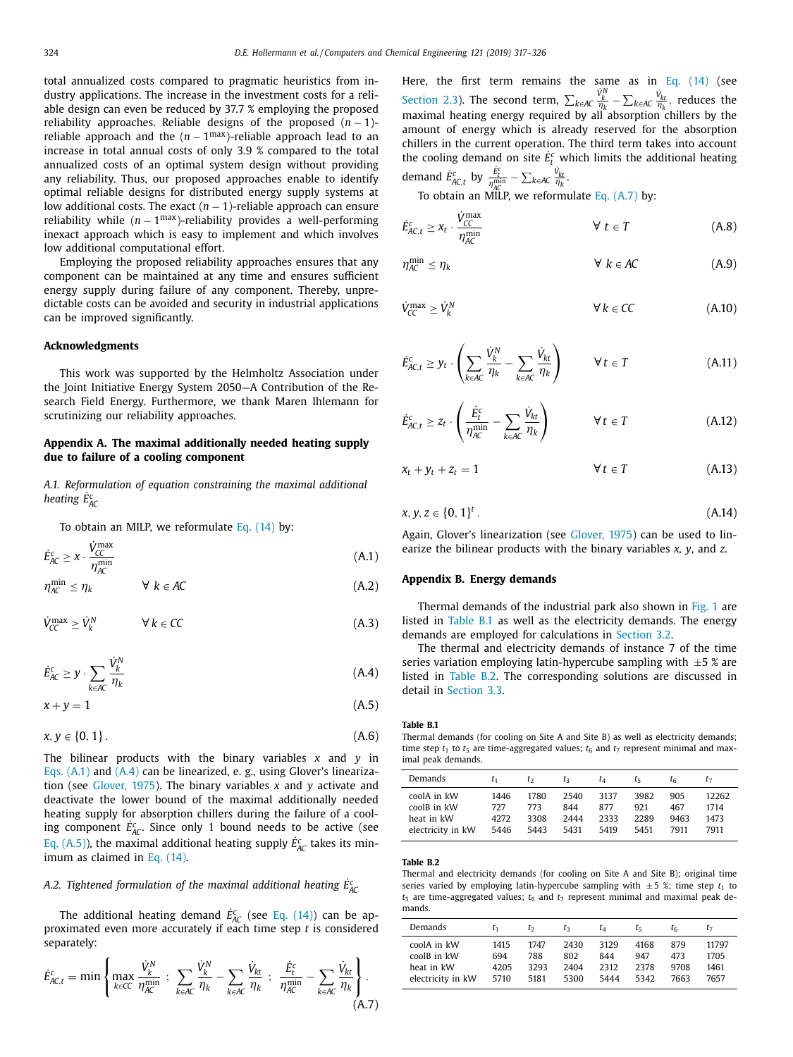<span id="page-7-0"></span>total annualized costs compared to pragmatic heuristics from industry applications. The increase in the investment costs for a reliable design can even be reduced by 37.7 % employing the proposed reliability approaches. Reliable designs of the proposed (*n* − 1) reliable approach and the  $(n - 1^{max})$ -reliable approach lead to an increase in total annual costs of only 3.9 % compared to the total annualized costs of an optimal system design without providing any reliability. Thus, our proposed approaches enable to identify optimal reliable designs for distributed energy supply systems at low additional costs. The exact (*n* − 1)-reliable approach can ensure reliability while  $(n - 1<sup>max</sup>)$ -reliability provides a well-performing inexact approach which is easy to implement and which involves low additional computational effort.

Employing the proposed reliability approaches ensures that any component can be maintained at any time and ensures sufficient energy supply during failure of any component. Thereby, unpredictable costs can be avoided and security in industrial applications can be improved significantly.

#### **Acknowledgments**

This work was supported by the Helmholtz Association under the Joint Initiative Energy System 2050—A Contribution of the Research Field Energy. Furthermore, we thank Maren Ihlemann for scrutinizing our reliability approaches.

# **Appendix A. The maximal additionally needed heating supply due to failure of a cooling component**

*A.1. Reformulation of equation constraining the maximal additional heating E*˙ *<sup>c</sup> AC*

To obtain an MILP, we reformulate Eq. [\(14\)](#page-3-0) by:

$$
\dot{E}_{AC}^c \ge \chi \cdot \frac{\dot{V}_{CC}^{\text{max}}}{\eta_{AC}^{\text{min}}} \tag{A.1}
$$

$$
\eta_{AC}^{\min} \le \eta_k \qquad \forall \ k \in AC \tag{A.2}
$$

$$
\dot{V}_{CC}^{\text{max}} \ge \dot{V}_k^N \qquad \forall \, k \in CC \tag{A.3}
$$

$$
\dot{E}_{AC}^c \geq y \cdot \sum_{k \in AC} \frac{\dot{V}_k^N}{\eta_k} \tag{A.4}
$$

$$
x + y = 1 \tag{A.5}
$$

$$
x, y \in \{0, 1\}.
$$
 (A.6)

The bilinear products with the binary variables *x* and *y* in Eqs. (A.1) and (A.4) can be linearized, e. g., using Glover's linearization (see [Glover,](#page-8-0) 1975). The binary variables *x* and *y* activate and deactivate the lower bound of the maximal additionally needed heating supply for absorption chillers during the failure of a cooling component  $\dot{E}_{AC}^c$ . Since only 1 bound needs to be active (see Eq. (A.5)), the maximal additional heating supply  $\dot{E}_{AC}^c$  takes its minimum as claimed in Eq. [\(14\).](#page-3-0)

# *A.2. Tightened formulation of the maximal additional heating E*˙ *<sup>c</sup> AC*

The additional heating demand  $\dot{E}_{AC}^c$  (see Eq. [\(14\)\)](#page-3-0) can be approximated even more accurately if each time step *t* is considered separately:

$$
\dot{E}^c_{AC,t} = \min \left\{ \max_{k \in CC} \frac{\dot{V}^N_k}{\eta_{AC}^{\min}} \; ; \; \sum_{k \in AC} \frac{\dot{V}^N_k}{\eta_k} - \sum_{k \in AC} \frac{\dot{V}_{kt}}{\eta_k} \; ; \; \frac{\dot{E}^c_t}{\eta_{AC}^{\min}} - \sum_{k \in AC} \frac{\dot{V}_{kt}}{\eta_k} \right\}.
$$
\n(A.7)

Here, the first term remains the same as in Eq. [\(14\)](#page-3-0) (see [Section](#page-3-0) 2.3). The second term,  $\sum_{k \in AC} \frac{\dot{V}_k^N}{\eta_k} - \sum_{k \in AC} \frac{\dot{V}_{kt}}{\eta_k}$ , reduces the maximal heating energy required by all absorption chillers by the amount of energy which is already reserved for the absorption chillers in the current operation. The third term takes into account the cooling demand on site  $\dot{E}^c_t$  which limits the additional heating demand  $\dot{E}_{AC,t}^c$  by  $\frac{\dot{E}_t^c}{\eta_{AC}^{\min}} - \sum_{k \in AC} \frac{\dot{V}_{kt}}{\eta_k}$ .

To obtain an MILP, we reformulate Eq. (A.7) by:

$$
\dot{E}_{AC,t}^c \ge x_t \cdot \frac{\dot{V}_{CC}^{\text{max}}}{\eta_{AC}^{\text{min}}} \qquad \forall \ t \in T \tag{A.8}
$$

$$
\eta_{AC}^{\min} \le \eta_k \qquad \qquad \forall \ k \in AC \tag{A.9}
$$

$$
\dot{V}_{CC}^{\max} \ge \dot{V}_{k}^{N} \qquad \forall k \in CC \qquad (A.10)
$$

$$
\dot{E}_{AC,t}^c \ge y_t \cdot \left(\sum_{k \in AC} \frac{\dot{V}_k^N}{\eta_k} - \sum_{k \in AC} \frac{\dot{V}_{kt}}{\eta_k}\right) \qquad \forall \ t \in T
$$
\n(A.11)

$$
\dot{E}_{AC,t}^c \ge z_t \cdot \left(\frac{\dot{E}_t^c}{\eta_{AC}^{\min}} - \sum_{k \in AC} \frac{\dot{V}_{kt}}{\eta_k}\right) \qquad \forall \ t \in T
$$
\n(A.12)

$$
x_t + y_t + z_t = 1 \qquad \qquad \forall \, t \in T \tag{A.13}
$$

$$
x, y, z \in \{0, 1\}^t. \tag{A.14}
$$

Again, Glover's linearization (see [Glover,](#page-8-0) 1975) can be used to linearize the bilinear products with the binary variables *x, y*, and *z*.

# **Appendix B. Energy demands**

Thermal demands of the industrial park also shown in [Fig.](#page-4-0) 1 are listed in Table B.1 as well as the electricity demands. The energy demands are employed for calculations in [Section](#page-4-0) 3.2.

The thermal and electricity demands of instance 7 of the time series variation employing latin-hypercube sampling with  $\pm 5$  % are listed in Table B.2. The corresponding solutions are discussed in detail in [Section](#page-5-0) 3.3.

#### **Table B.1**

Thermal demands (for cooling on Site A and Site B) as well as electricity demands; time step  $t_1$  to  $t_5$  are time-aggregated values;  $t_6$  and  $t_7$  represent minimal and maximal peak demands.

| Demands           | t1   | tэ   | tэ   | Lл   | Ľς.  | τg   |       |
|-------------------|------|------|------|------|------|------|-------|
| coolA in kW       | 1446 | 1780 | 2540 | 3137 | 3982 | 905  | 12262 |
| coolB in kW       | 727  | 773  | 844  | 877  | 921  | 467  | 1714  |
| heat in kW        | 4272 | 3308 | 2444 | 2333 | 2289 | 9463 | 1473  |
| electricity in kW | 5446 | 5443 | 5431 | 5419 | 5451 | 7911 | 7911  |

#### **Table B.2**

Thermal and electricity demands (for cooling on Site A and Site B); original time series varied by employing latin-hypercube sampling with  $\pm 5$  %; time step  $t_1$  to  $t_5$  are time-aggregated values;  $t_6$  and  $t_7$  represent minimal and maximal peak demands.

| Demands           | E1   | tэ   | Ŀз   | UΔ   | τs   | τg   | L7    |
|-------------------|------|------|------|------|------|------|-------|
| coolA in kW       | 1415 | 1747 | 2430 | 3129 | 4168 | 879  | 11797 |
| coolB in kW       | 694  | 788  | 802  | 844  | 947  | 473  | 1705  |
| heat in kW        | 4205 | 3293 | 2404 | 2312 | 2378 | 9708 | 1461  |
| electricity in kW | 5710 | 5181 | 5300 | 5444 | 5342 | 7663 | 7657  |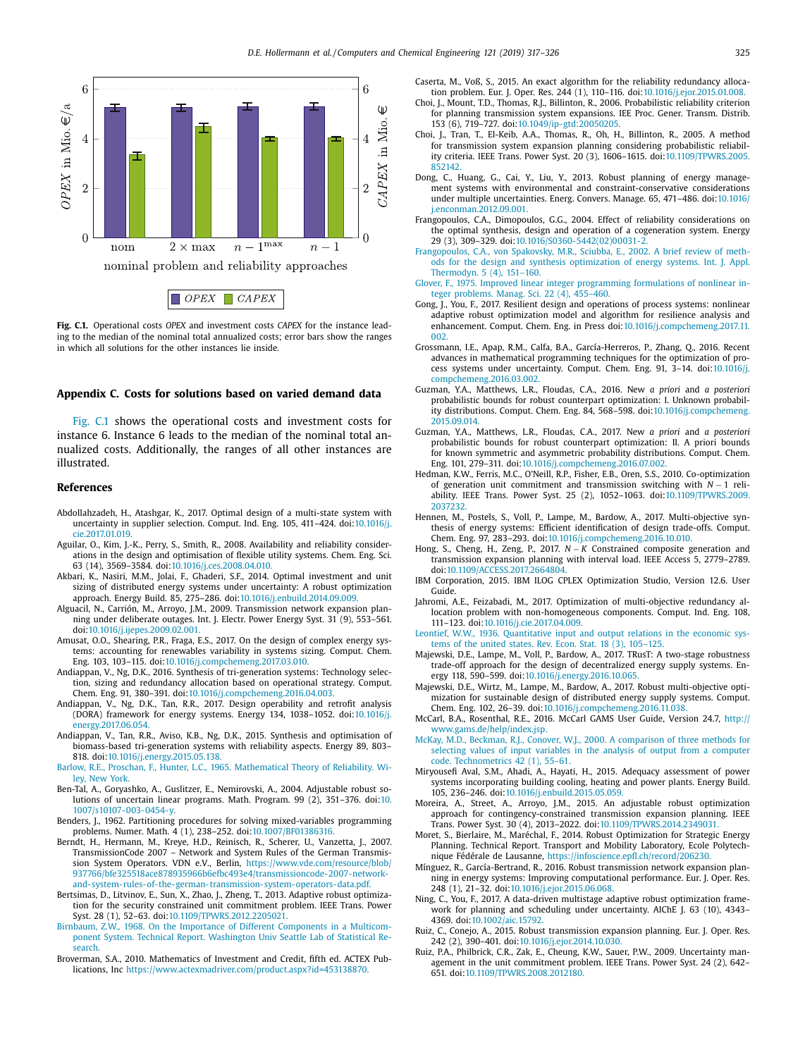<span id="page-8-0"></span>

**Fig. C.1.** Operational costs *OPEX* and investment costs *CAPEX* for the instance leading to the median of the nominal total annualized costs; error bars show the ranges in which all solutions for the other instances lie inside.

#### **Appendix C. Costs for solutions based on varied demand data**

Fig. C.1 shows the operational costs and investment costs for instance 6. Instance 6 leads to the median of the nominal total annualized costs. Additionally, the ranges of all other instances are illustrated.

#### **References**

- Abdollahzadeh, H., Atashgar, K., 2017. Optimal design of a multi-state system with uncertainty in supplier selection. Comput. Ind. Eng. 105, 411-424. doi:10.1016/j. [cie.2017.01.019.](https://doi.org/10.1016/j.cie.2017.01.019)
- Aguilar, O., Kim, J.-K., Perry, S., Smith, R., 2008. Availability and reliability considerations in the design and optimisation of flexible utility systems. Chem. Eng. Sci. 63 (14), 3569–3584. doi[:10.1016/j.ces.2008.04.010.](https://doi.org/10.1016/j.ces.2008.04.010)
- Akbari, K., Nasiri, M.M., Jolai, F., Ghaderi, S.F., 2014. Optimal investment and unit sizing of distributed energy systems under uncertainty: A robust optimization approach. Energy Build. 85, 275–286. doi[:10.1016/j.enbuild.2014.09.009.](https://doi.org/10.1016/j.enbuild.2014.09.009)
- Alguacil, N., Carrión, M., Arroyo, J.M., 2009. Transmission network expansion planning under deliberate outages. Int. J. Electr. Power Energy Syst. 31 (9), 553–561. doi[:10.1016/j.ijepes.2009.02.001.](https://doi.org/10.1016/j.ijepes.2009.02.001)
- Amusat, O.O., Shearing, P.R., Fraga, E.S., 2017. On the design of complex energy systems: accounting for renewables variability in systems sizing. Comput. Chem. Eng. 103, 103–115. doi[:10.1016/j.compchemeng.2017.03.010.](https://doi.org/10.1016/j.compchemeng.2017.03.010)
- Andiappan, V., Ng, D.K., 2016. Synthesis of tri-generation systems: Technology selection, sizing and redundancy allocation based on operational strategy. Comput. Chem. Eng. 91, 380–391. doi[:10.1016/j.compchemeng.2016.04.003.](https://doi.org/10.1016/j.compchemeng.2016.04.003)
- Andiappan, V., Ng, D.K., Tan, R.R., 2017. Design operability and retrofit analysis (DORA) framework for energy systems. Energy 134, 1038–1052. doi:10.1016/j. [energy.2017.06.054.](https://doi.org/10.1016/j.energy.2017.06.054)
- Andiappan, V., Tan, R.R., Aviso, K.B., Ng, D.K., 2015. Synthesis and optimisation of biomass-based tri-generation systems with reliability aspects. Energy 89, 803– 818. doi[:10.1016/j.energy.2015.05.138.](https://doi.org/10.1016/j.energy.2015.05.138)
- [Barlow,](http://refhub.elsevier.com/S0098-1354(18)31016-0/sbref0009) R.E., [Proschan,](http://refhub.elsevier.com/S0098-1354(18)31016-0/sbref0009) F., [Hunter,](http://refhub.elsevier.com/S0098-1354(18)31016-0/sbref0009) L.C., 1965. [Mathematical](http://refhub.elsevier.com/S0098-1354(18)31016-0/sbref0009) Theory of Reliability. Wiley, New York.
- Ben-Tal, A., Goryashko, A., Guslitzer, E., Nemirovski, A., 2004. Adjustable robust solutions of uncertain linear programs. Math. Program. 99 (2), 351–376. doi:10. [1007/s10107-003-0454-y.](https://doi.org/10.1007/s10107-003-0454-y)
- Benders, J., 1962. Partitioning procedures for solving mixed-variables programming problems. Numer. Math. 4 (1), 238–252. doi[:10.1007/BF01386316.](https://doi.org/10.1007/BF01386316)
- Berndt, H., Hermann, M., Kreye, H.D., Reinisch, R., Scherer, U., Vanzetta, J., 2007. TransmissionCode 2007 Network and System Rules of the German Transmission System Operators. VDN e.V., Berlin, https://www.vde.com/resource/blob/ [937766/bfe325518ace878935966b6efbc493e4/transmissioncode-2007-network](https://www.vde.com/resource/blob/937766/bfe325518ace878935966b6efbc493e4/transmissioncode-2007-network-and-system-rules-of-the-german-transmission-system-operators-data.pdf)and-system-rules-of-the-german-transmission-system-operators-data.pdf.
- Bertsimas, D., Litvinov, E., Sun, X., Zhao, J., Zheng, T., 2013. Adaptive robust optimization for the security constrained unit commitment problem. IEEE Trans. Power Syst. 28 (1), 52–63. doi[:10.1109/TPWRS.2012.2205021.](https://doi.org/10.1109/TPWRS.2012.2205021)
- [Birnbaum,](http://refhub.elsevier.com/S0098-1354(18)31016-0/sbref0014) Z.W., 1968. On the Importance of Different [Components](http://refhub.elsevier.com/S0098-1354(18)31016-0/sbref0014) in a Multicomponent System. Technical Report. Washington Univ Seattle Lab of Statistical Research.
- Broverman, S.A., 2010. Mathematics of Investment and Credit, fifth ed. ACTEX Publications, Inc [https://www.actexmadriver.com/product.aspx?id=453138870.](https://www.actexmadriver.com/product.aspx?id=453138870)

Caserta, M., Voß, S., 2015. An exact algorithm for the reliability redundancy allocation problem. Eur. J. Oper. Res. 244 (1), 110–116. doi[:10.1016/j.ejor.2015.01.008.](https://doi.org/10.1016/j.ejor.2015.01.008)

- Choi, J., Mount, T.D., Thomas, R.J., Billinton, R., 2006. Probabilistic reliability criterion for planning transmission system expansions. IEE Proc. Gener. Transm. Distrib. 153 (6), 719–727. doi[:10.1049/ip-gtd:20050205.](https://doi.org/10.1049/ip-gtd:20050205)
- Choi, J., Tran, T., El-Keib, A.A., Thomas, R., Oh, H., Billinton, R., 2005. A method for transmission system expansion planning considering probabilistic reliability criteria. IEEE Trans. Power Syst. 20 (3), 1606–1615. [doi:10.1109/TPWRS.2005.](https://doi.org/10.1109/TPWRS.2005.852142) 852142.
- Dong, C., Huang, G., Cai, Y., Liu, Y., 2013. Robust planning of energy management systems with environmental and constraint-conservative considerations under multiple uncertainties. Energ. Convers. Manage. 65, 471–486. doi:10.1016/ [j.enconman.2012.09.001.](https://doi.org/10.1016/j.enconman.2012.09.001)
- Frangopoulos, C.A., Dimopoulos, G.G., 2004. Effect of reliability considerations on the optimal synthesis, design and operation of a cogeneration system. Energy 29 (3), 309–329. doi[:10.1016/S0360-5442\(02\)00031-2.](https://doi.org/10.1016/S0360-5442(02)00031-2)
- [Frangopoulos,](http://refhub.elsevier.com/S0098-1354(18)31016-0/sbref0021) C.A., von [Spakovsky,](http://refhub.elsevier.com/S0098-1354(18)31016-0/sbref0021) M.R., [Sciubba,](http://refhub.elsevier.com/S0098-1354(18)31016-0/sbref0021) E., 2002. A brief review of methods for the design and synthesis [optimization](http://refhub.elsevier.com/S0098-1354(18)31016-0/sbref0021) of energy systems. Int. J. Appl. Thermodyn. 5 (4), 151–160.
- [Glover,](http://refhub.elsevier.com/S0098-1354(18)31016-0/sbref0022) F., 1975. Improved linear integer [programming](http://refhub.elsevier.com/S0098-1354(18)31016-0/sbref0022) formulations of nonlinear integer problems. Manag. Sci. 22 (4), 455–460.
- Gong, J., You, F., 2017. Resilient design and operations of process systems: nonlinear adaptive robust optimization model and algorithm for resilience analysis and enhancement. Comput. Chem. Eng. in Press [doi:10.1016/j.compchemeng.2017.11.](https://doi.org/10.1016/j.compchemeng.2017.11.002)  $0<sub>0</sub>$
- Grossmann, I.E., Apap, R.M., Calfa, B.A., García-Herreros, P., Zhang, Q., 2016. Recent advances in mathematical programming techniques for the optimization of process systems under uncertainty. Comput. Chem. Eng. 91, 3–14. doi:10.1016/j. [compchemeng.2016.03.002.](https://doi.org/10.1016/j.compchemeng.2016.03.002)
- Guzman, Y.A., Matthews, L.R., Floudas, C.A., 2016. New *a priori* and *a posteriori* probabilistic bounds for robust counterpart optimization: I. Unknown probability distributions. Comput. Chem. Eng. 84, 568–598. [doi:10.1016/j.compchemeng.](https://doi.org/10.1016/j.compchemeng.2015.09.014) 2015.09.014.
- Guzman, Y.A., Matthews, L.R., Floudas, C.A., 2017. New *a priori* and *a posteriori* probabilistic bounds for robust counterpart optimization: II. A priori bounds for known symmetric and asymmetric probability distributions. Comput. Chem. Eng. 101, 279–311. doi[:10.1016/j.compchemeng.2016.07.002.](https://doi.org/10.1016/j.compchemeng.2016.07.002)
- Hedman, K.W., Ferris, M.C., O'Neill, R.P., Fisher, E.B., Oren, S.S., 2010. Co-optimization of generation unit commitment and transmission switching with *N* − 1 reliability. IEEE Trans. Power Syst. 25 (2), 1052–1063. [doi:10.1109/TPWRS.2009.](https://doi.org/10.1109/TPWRS.2009.2037232) 2037232.
- Hennen, M., Postels, S., Voll, P., Lampe, M., Bardow, A., 2017. Multi-objective synthesis of energy systems: Efficient identification of design trade-offs. Comput. Chem. Eng. 97, 283–293. doi[:10.1016/j.compchemeng.2016.10.010.](https://doi.org/10.1016/j.compchemeng.2016.10.010)
- Hong, S., Cheng, H., Zeng, P., 2017. *N* − *K* Constrained composite generation and transmission expansion planning with interval load. IEEE Access 5, 2779–2789. doi[:10.1109/ACCESS.2017.2664804.](https://doi.org/10.1109/ACCESS.2017.2664804)
- IBM Corporation, 2015. IBM ILOG CPLEX Optimization Studio, Version 12.6. User Guide.
- Jahromi, A.E., Feizabadi, M., 2017. Optimization of multi-objective redundancy allocation problem with non-homogeneous components. Comput. Ind. Eng. 108, 111–123. doi[:10.1016/j.cie.2017.04.009.](https://doi.org/10.1016/j.cie.2017.04.009)
- [Leontief,](http://refhub.elsevier.com/S0098-1354(18)31016-0/sbref0031) W.W., 1936. [Quantitative](http://refhub.elsevier.com/S0098-1354(18)31016-0/sbref0031) input and output relations in the economic systems of the united states. Rev. Econ. Stat. 18 (3), 105-125.
- Majewski, D.E., Lampe, M., Voll, P., Bardow, A., 2017. TRusT: A two-stage robustness trade-off approach for the design of decentralized energy supply systems. Energy 118, 590–599. doi[:10.1016/j.energy.2016.10.065.](https://doi.org/10.1016/j.energy.2016.10.065)
- Majewski, D.E., Wirtz, M., Lampe, M., Bardow, A., 2017. Robust multi-objective optimization for sustainable design of distributed energy supply systems. Comput. Chem. Eng. 102, 26–39. doi[:10.1016/j.compchemeng.2016.11.038.](https://doi.org/10.1016/j.compchemeng.2016.11.038)
- McCarl, B.A., Rosenthal, R.E., 2016. McCarl GAMS User Guide, Version 24.7, http:// [www.gams.de/help/index.jsp.](http://www.gams.de/help/index.jsp)
- [McKay,](http://refhub.elsevier.com/S0098-1354(18)31016-0/sbref0035) M.D., [Beckman,](http://refhub.elsevier.com/S0098-1354(18)31016-0/sbref0035) R.J., [Conover,](http://refhub.elsevier.com/S0098-1354(18)31016-0/sbref0035) W.J., 2000. A comparison of three methods for selecting values of input variables in the analysis of output from a computer code. [Technometrics](http://refhub.elsevier.com/S0098-1354(18)31016-0/sbref0035) 42 (1), 55–61.
- Miryousefi Aval, S.M., Ahadi, A., Hayati, H., 2015. Adequacy assessment of power systems incorporating building cooling, heating and power plants. Energy Build. 105, 236–246. doi[:10.1016/j.enbuild.2015.05.059.](https://doi.org/10.1016/j.enbuild.2015.05.059)
- Moreira, A., Street, A., Arroyo, J.M., 2015. An adjustable robust optimization approach for contingency-constrained transmission expansion planning. IEEE Trans. Power Syst. 30 (4), 2013–2022. doi[:10.1109/TPWRS.2014.2349031.](https://doi.org/10.1109/TPWRS.2014.2349031)
- Moret, S., Bierlaire, M., Maréchal, F., 2014. Robust Optimization for Strategic Energy Planning. Technical Report. Transport and Mobility Laboratory, Ecole Polytechnique Fédérale de Lausanne, [https://infoscience.epfl.ch/record/206230.](https://infoscience.epfl.ch/record/206230)
- Mínguez, R., García-Bertrand, R., 2016. Robust transmission network expansion planning in energy systems: Improving computational performance. Eur. J. Oper. Res. 248 (1), 21–32. doi[:10.1016/j.ejor.2015.06.068.](https://doi.org/10.1016/j.ejor.2015.06.068)
- Ning, C., You, F., 2017. A data-driven multistage adaptive robust optimization framework for planning and scheduling under uncertainty. AIChE J. 63 (10), 4343– 4369. doi[:10.1002/aic.15792.](https://doi.org/10.1002/aic.15792)
- Ruiz, C., Conejo, A., 2015. Robust transmission expansion planning. Eur. J. Oper. Res. 242 (2), 390–401. doi[:10.1016/j.ejor.2014.10.030.](https://doi.org/10.1016/j.ejor.2014.10.030)
- Ruiz, P.A., Philbrick, C.R., Zak, E., Cheung, K.W., Sauer, P.W., 2009. Uncertainty management in the unit commitment problem. IEEE Trans. Power Syst. 24 (2), 642– 651. doi[:10.1109/TPWRS.2008.2012180.](https://doi.org/10.1109/TPWRS.2008.2012180)